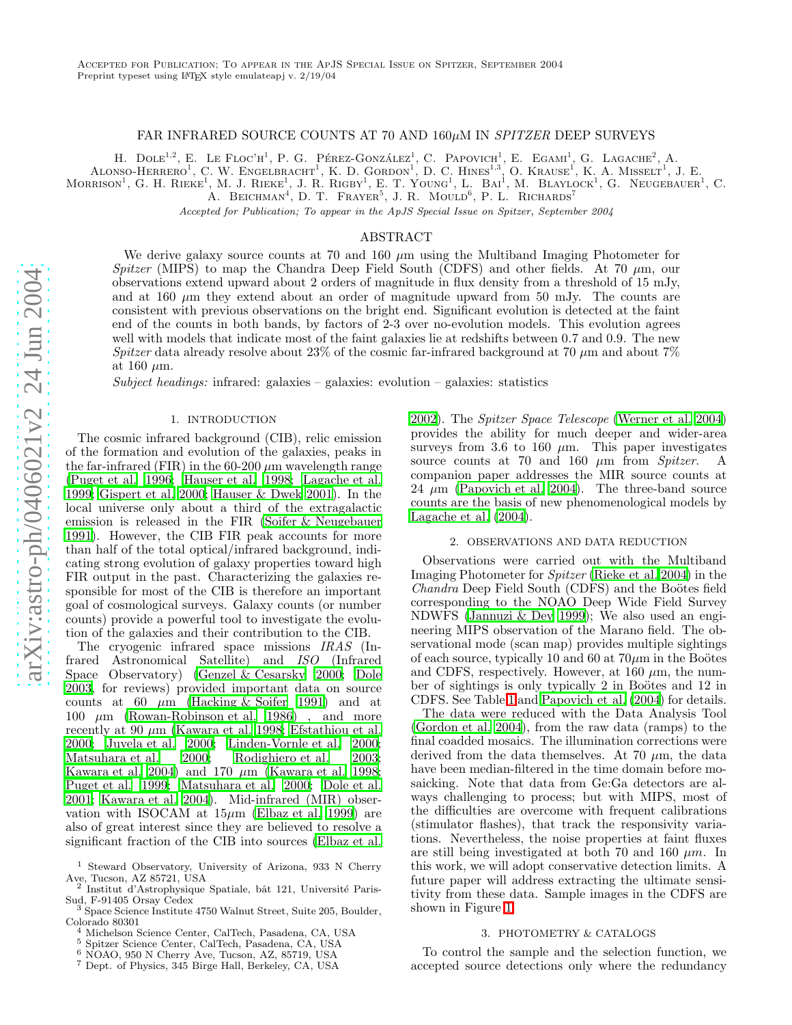## FAR INFRARED SOURCE COUNTS AT 70 AND  $160\mu$ M IN *SPITZER* DEEP SURVEYS

H. DOLE<sup>1,2</sup>, E. LE FLOC'H<sup>1</sup>, P. G. PÉREZ-GONZÁLEZ<sup>1</sup>, C. PAPOVICH<sup>1</sup>, E. EGAMI<sup>1</sup>, G. LAGACHE<sup>2</sup>, A.

ALONSO-HERRERO<sup>1</sup>, C. W. ENGELBRACHT<sup>1</sup>, K. D. GORDON<sup>1</sup>, D. C. HINES<sup>1,3</sup>, O. KRAUSE<sup>I</sup>, K. A. MISSELT<sup>1</sup>, J. E.

MORRISON<sup>1</sup>, G. H. RIEKE<sup>1</sup>, M. J. RIEKE<sup>1</sup>, J. R. RIGBY<sup>1</sup>, E. T. YOUNG<sup>1</sup>, L. BAI<sup>1</sup>, M. BLAYLOCK<sup>1</sup>, G. NEUGEBAUER<sup>1</sup>, C.

A. BEICHMAN<sup>4</sup>, D. T. FRAYER<sup>5</sup>, J. R. MOULD<sup>6</sup>, P. L. RICHARDS<sup>7</sup>

Accepted for Publication; To appear in the ApJS Special Issue on Spitzer, September 2004

### ABSTRACT

We derive galaxy source counts at  $70$  and  $160 \mu m$  using the Multiband Imaging Photometer for Spitzer (MIPS) to map the Chandra Deep Field South (CDFS) and other fields. At 70  $\mu$ m, our observations extend upward about 2 orders of magnitude in flux density from a threshold of 15 mJy, and at 160  $\mu$ m they extend about an order of magnitude upward from 50 mJy. The counts are consistent with previous observations on the bright end. Significant evolution is detected at the faint end of the counts in both bands, by factors of 2-3 over no-evolution models. This evolution agrees well with models that indicate most of the faint galaxies lie at redshifts between 0.7 and 0.9. The new Spitzer data already resolve about 23% of the cosmic far-infrared background at 70  $\mu$ m and about 7% at 160  $\mu$ m.

Subject headings: infrared: galaxies – galaxies: evolution – galaxies: statistics

#### 1. INTRODUCTION

The cosmic infrared background (CIB), relic emission of the formation and evolution of the galaxies, peaks in the far-infrared (FIR) in the  $60-200 \ \mu m$  wavelength range [\(Puget et al. 1996;](#page-2-0) [Hauser et al. 1998;](#page-2-1) [Lagache et al.](#page-2-2) [1999;](#page-2-2) [Gispert et al. 2000;](#page-2-3) [Hauser & Dwek 2001\)](#page-2-4). In the local universe only about a third of the extragalactic emission is released in the FIR [\(Soifer & Neugebauer](#page-2-5) [1991\)](#page-2-5). However, the CIB FIR peak accounts for more than half of the total optical/infrared background, indicating strong evolution of galaxy properties toward high FIR output in the past. Characterizing the galaxies responsible for most of the CIB is therefore an important goal of cosmological surveys. Galaxy counts (or number counts) provide a powerful tool to investigate the evolution of the galaxies and their contribution to the CIB.

The cryogenic infrared space missions IRAS (Infrared Astronomical Satellite) and ISO (Infrared Space Observatory) [\(Genzel & Cesarsky 2000](#page-2-6); [Dole](#page-2-7) [2003,](#page-2-7) for reviews) provided important data on source counts at 60  $\mu$ m [\(Hacking & Soifer 1991](#page-2-8)) and at 100  $\mu$ m [\(Rowan-Robinson et al. 1986](#page-2-9)), and more recently at 90  $\mu$ m [\(Kawara et al. 1998](#page-2-10); [Efstathiou et al.](#page-2-11) [2000;](#page-2-11) [Juvela et al. 2000;](#page-2-12) [Linden-Vornle et al. 2000;](#page-2-13) [Matsuhara et al. 2000;](#page-2-14) [Rodighiero et al. 2003;](#page-2-15) [Kawara et al. 2004\)](#page-2-16) and 170  $\mu$ m [\(Kawara et al. 1998;](#page-2-10) [Puget et al. 1999;](#page-2-17) [Matsuhara et al. 2000;](#page-2-14) [Dole et al.](#page-2-18) [2001;](#page-2-18) [Kawara et al. 2004\)](#page-2-16). Mid-infrared (MIR) observation with ISOCAM at  $15\mu m$  [\(Elbaz et al. 1999](#page-2-19)) are also of great interest since they are believed to resolve a significant fraction of the CIB into sources [\(Elbaz et al.](#page-2-20)

[2002\)](#page-2-20). The Spitzer Space Telescope [\(Werner et al. 2004](#page-2-21)) provides the ability for much deeper and wider-area surveys from 3.6 to 160  $\mu$ m. This paper investigates source counts at 70 and 160  $\mu$ m from Spitzer. A companion paper addresses the MIR source counts at  $24 \mu m$  [\(Papovich et al. 2004\)](#page-2-22). The three-band source counts are the basis of new phenomenological models by [Lagache et al. \(2004\)](#page-2-23).

### 2. OBSERVATIONS AND DATA REDUCTION

Observations were carried out with the Multiband Imaging Photometer for Spitzer [\(Rieke et al. 2004\)](#page-2-24) in the Chandra Deep Field South (CDFS) and the Boötes field corresponding to the NOAO Deep Wide Field Survey NDWFS [\(Jannuzi & Dey 1999\)](#page-2-25); We also used an engineering MIPS observation of the Marano field. The observational mode (scan map) provides multiple sightings of each source, typically 10 and 60 at  $70\mu m$  in the Boötes and CDFS, respectively. However, at  $160 \mu m$ , the number of sightings is only typically 2 in Boötes and 12 in CDFS. See Table [1](#page-1-0) and [Papovich et al. \(2004](#page-2-22)) for details.

The data were reduced with the Data Analysis Tool [\(Gordon et al. 2004](#page-2-26)), from the raw data (ramps) to the final coadded mosaics. The illumination corrections were derived from the data themselves. At  $70 \mu m$ , the data have been median-filtered in the time domain before mosaicking. Note that data from Ge:Ga detectors are always challenging to process; but with MIPS, most of the difficulties are overcome with frequent calibrations (stimulator flashes), that track the responsivity variations. Nevertheless, the noise properties at faint fluxes are still being investigated at both 70 and 160  $\mu$ m. In this work, we will adopt conservative detection limits. A future paper will address extracting the ultimate sensitivity from these data. Sample images in the CDFS are shown in Figure [1.](#page-3-0)

# 3. PHOTOMETRY & CATALOGS

To control the sample and the selection function, we accepted source detections only where the redundancy

<sup>1</sup> Steward Observatory, University of Arizona, 933 N Cherry Ave, Tucson, AZ 85721, USA

 $^2$ Institut d'Astrophysique Spatiale, bât 121, Université Paris-Sud, F-91405 Orsay Cedex

 $^3$ Space Science Institute 4750 Walnut Street, Suite 205, Boulder, Colorado 80301

 $^4$  Michelson Science Center, Cal<br/>Tech, Pasadena, CA, USA $^5$ Spitzer Science Center, Cal<br/>Tech, Pasadena, CA, USA $^6$ NOAO, 950 N<br/> Cherry Ave, Tucson, AZ, 85719, USA $^7$ Dept. of Physics, 345<br/> Birge Hall, Be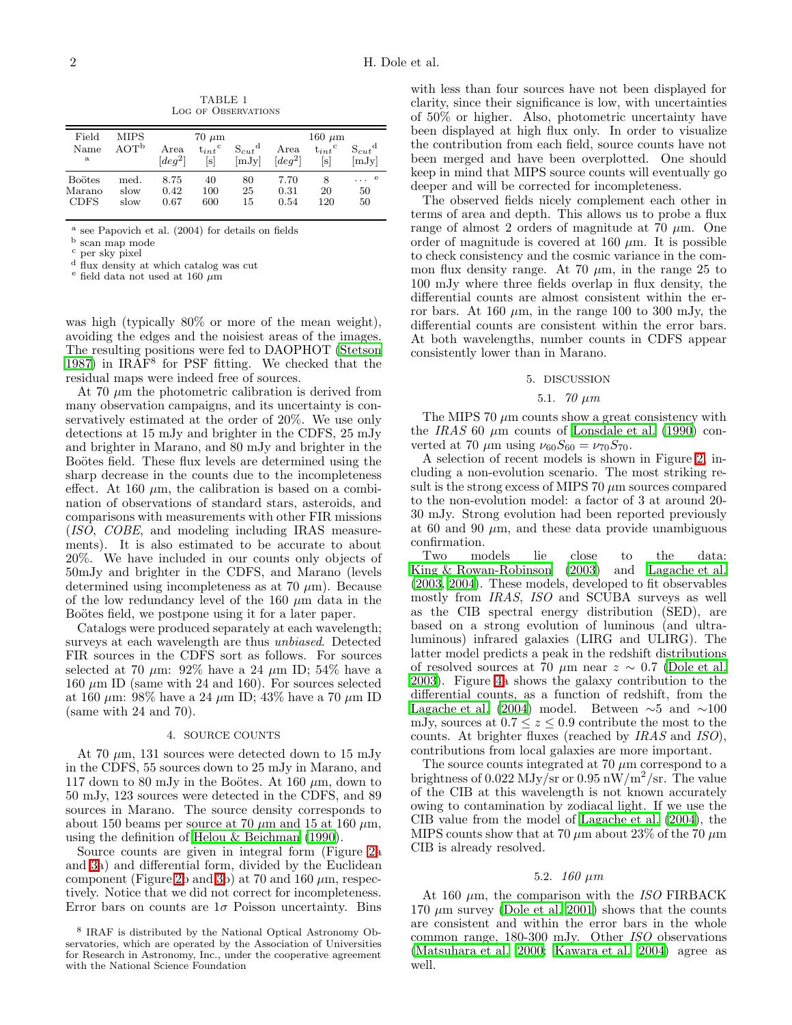<span id="page-1-0"></span>

| Field         | MIPS             | $70 \mu m$                          |                      |                 | $160 \mu m$            |                      |                     |
|---------------|------------------|-------------------------------------|----------------------|-----------------|------------------------|----------------------|---------------------|
| Name          | AOT <sup>b</sup> | Area                                | $t_{int}^{\text{c}}$ | $S_{cut}^{\ d}$ | Area                   | $t_{int}^{\text{c}}$ | $S_{cut}^{\dagger}$ |
| a             |                  | $\lceil \text{de} \cdot q^2 \rceil$ | [s]                  | [mJy]           | $\lceil \deg^2 \rceil$ | lsl                  | [mJv]               |
| <b>Boötes</b> | med.             | 8.75                                | 40                   | 80              | 7.70                   | 8                    | $\ldots$ e          |
| Marano        | slow             | 0.42                                | 100                  | 25              | 0.31                   | 20                   | 50                  |
| <b>CDFS</b>   | slow             | 0.67                                | 600                  | 15              | 0.54                   | 120                  | 50                  |

TABLE 1 Log of Observations

a see Papovich et al. (2004) for details on fields

 $^{\rm b}$ scan map mode

per sky pixel

<sup>d</sup> flux density at which catalog was cut

e field data not used at 160  $\mu$ m

was high (typically 80% or more of the mean weight), avoiding the edges and the noisiest areas of the images. The resulting positions were fed to DAOPHOT [\(Stetson](#page-2-27) [1987\)](#page-2-27) in IRAF<sup>8</sup> for PSF fitting. We checked that the residual maps were indeed free of sources.

At 70  $\mu$ m the photometric calibration is derived from many observation campaigns, and its uncertainty is conservatively estimated at the order of 20%. We use only detections at 15 mJy and brighter in the CDFS, 25 mJy and brighter in Marano, and 80 mJy and brighter in the Boötes field. These flux levels are determined using the sharp decrease in the counts due to the incompleteness effect. At 160  $\mu$ m, the calibration is based on a combination of observations of standard stars, asteroids, and comparisons with measurements with other FIR missions (ISO, COBE, and modeling including IRAS measurements). It is also estimated to be accurate to about 20%. We have included in our counts only objects of 50mJy and brighter in the CDFS, and Marano (levels determined using incompleteness as at 70  $\mu$ m). Because of the low redundancy level of the 160  $\mu$ m data in the Boötes field, we postpone using it for a later paper.

Catalogs were produced separately at each wavelength; surveys at each wavelength are thus *unbiased*. Detected FIR sources in the CDFS sort as follows. For sources selected at 70  $\mu$ m: 92% have a 24  $\mu$ m ID; 54% have a  $160 \ \mu m$  ID (same with 24 and 160). For sources selected at 160  $\mu$ m: 98% have a 24  $\mu$ m ID; 43% have a 70  $\mu$ m ID (same with 24 and 70).

### 4. SOURCE COUNTS

At 70  $\mu$ m, 131 sources were detected down to 15 mJy in the CDFS, 55 sources down to 25 mJy in Marano, and 117 down to 80 mJy in the Boötes. At 160  $\mu$ m, down to 50 mJy, 123 sources were detected in the CDFS, and 89 sources in Marano. The source density corresponds to about 150 beams per source at 70  $\mu$ m and 15 at 160  $\mu$ m, using the definition of [Helou & Beichman \(1990](#page-2-28)).

Source counts are given in integral form (Figure [2a](#page-4-0) and [3a](#page-5-0)) and differential form, divided by the Euclidean component (Figure [2b](#page-4-0) and [3b](#page-5-0)) at 70 and 160  $\mu$ m, respectively. Notice that we did not correct for incompleteness. Error bars on counts are  $1\sigma$  Poisson uncertainty. Bins

with less than four sources have not been displayed for clarity, since their significance is low, with uncertainties of 50% or higher. Also, photometric uncertainty have been displayed at high flux only. In order to visualize the contribution from each field, source counts have not been merged and have been overplotted. One should keep in mind that MIPS source counts will eventually go deeper and will be corrected for incompleteness.

The observed fields nicely complement each other in terms of area and depth. This allows us to probe a flux range of almost 2 orders of magnitude at 70  $\mu$ m. One order of magnitude is covered at 160  $\mu$ m. It is possible to check consistency and the cosmic variance in the common flux density range. At 70  $\mu$ m, in the range 25 to 100 mJy where three fields overlap in flux density, the differential counts are almost consistent within the error bars. At 160  $\mu$ m, in the range 100 to 300 mJy, the differential counts are consistent within the error bars. At both wavelengths, number counts in CDFS appear consistently lower than in Marano.

### 5. DISCUSSION

# 5.1. 70 µm

The MIPS 70  $\mu$ m counts show a great consistency with the IRAS 60  $\mu$ m counts of [Lonsdale et al. \(1990](#page-2-29)) converted at 70  $\mu$ m using  $\nu_{60}S_{60} = \nu_{70}S_{70}$ .

A selection of recent models is shown in Figure [2,](#page-4-0) including a non-evolution scenario. The most striking result is the strong excess of MIPS 70  $\mu$ m sources compared to the non-evolution model: a factor of 3 at around 20- 30 mJy. Strong evolution had been reported previously at 60 and 90  $\mu$ m, and these data provide unambiguous confirmation.

Two models lie close to the data: [King & Rowan-Robinson \(2003\)](#page-2-30) and [Lagache et al.](#page-2-31) [\(2003,](#page-2-31) [2004](#page-2-23)). These models, developed to fit observables mostly from IRAS, ISO and SCUBA surveys as well as the CIB spectral energy distribution (SED), are based on a strong evolution of luminous (and ultraluminous) infrared galaxies (LIRG and ULIRG). The latter model predicts a peak in the redshift distributions of resolved sources at 70  $\mu$ m near  $z \sim 0.7$  [\(Dole et al.](#page-2-32) [2003\)](#page-2-32). Figure [4a](#page-6-0) shows the galaxy contribution to the differential counts, as a function of redshift, from the [Lagache et al. \(2004\)](#page-2-23) model. Between  $\sim$ 5 and  $\sim$ 100 mJy, sources at  $0.7 \le z \le 0.9$  contribute the most to the counts. At brighter fluxes (reached by IRAS and ISO), contributions from local galaxies are more important.

The source counts integrated at  $70 \mu m$  correspond to a brightness of  $0.022 \mathrm{ MJy/sr}$  or  $0.95 \mathrm{nW/m^2/sr}$ . The value of the CIB at this wavelength is not known accurately owing to contamination by zodiacal light. If we use the CIB value from the model of [Lagache et al. \(2004\)](#page-2-23), the MIPS counts show that at 70  $\mu$ m about 23% of the 70  $\mu$ m CIB is already resolved.

#### 5.2.  $160 \ \mu m$

At 160  $\mu$ m, the comparison with the ISO FIRBACK 170  $\mu$ m survey [\(Dole et al. 2001\)](#page-2-18) shows that the counts are consistent and within the error bars in the whole common range, 180-300 mJy. Other ISO observations [\(Matsuhara et al. 2000](#page-2-14); [Kawara et al. 2004\)](#page-2-16) agree as well.

<sup>8</sup> IRAF is distributed by the National Optical Astronomy Observatories, which are operated by the Association of Universities for Research in Astronomy, Inc., under the cooperative agreement with the National Science Foundation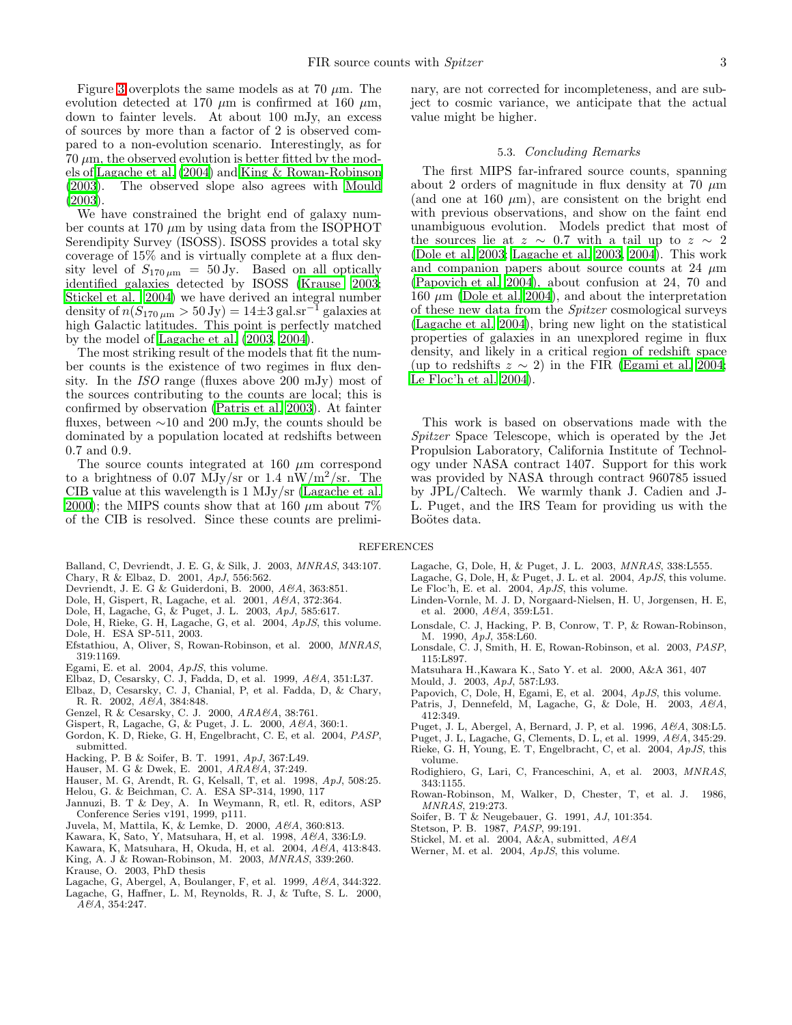Figure [3](#page-5-0) overplots the same models as at 70  $\mu$ m. The evolution detected at 170  $\mu$ m is confirmed at 160  $\mu$ m, down to fainter levels. At about 100 mJy, an excess of sources by more than a factor of 2 is observed compared to a non-evolution scenario. Interestingly, as for  $70 \mu m$ , the observed evolution is better fitted by the models of [Lagache et al. \(2004\)](#page-2-23) and [King & Rowan-Robinson](#page-2-30) [\(2003\)](#page-2-30). The observed slope also agrees with [Mould](#page-2-33) [\(2003\)](#page-2-33).

We have constrained the bright end of galaxy number counts at 170  $\mu$ m by using data from the ISOPHOT Serendipity Survey (ISOSS). ISOSS provides a total sky coverage of 15% and is virtually complete at a flux density level of  $S_{170 \mu m}$  = 50 Jy. Based on all optically identified galaxies detected by ISOSS [\(Krause 2003;](#page-2-34) [Stickel et al. 2004\)](#page-2-35) we have derived an integral number density of  $n(S_{170 \mu m} > 50 \text{ Jy}) = 14 \pm 3 \text{ gal.s} \text{m}^{-1}$  galaxies at high Galactic latitudes. This point is perfectly matched by the model of [Lagache et al. \(2003,](#page-2-31) [2004\)](#page-2-23).

The most striking result of the models that fit the number counts is the existence of two regimes in flux density. In the ISO range (fluxes above 200 mJy) most of the sources contributing to the counts are local; this is confirmed by observation [\(Patris et al. 2003\)](#page-2-36). At fainter fluxes, between ∼10 and 200 mJy, the counts should be dominated by a population located at redshifts between 0.7 and 0.9.

The source counts integrated at 160  $\mu$ m correspond to a brightness of 0.07 MJy/sr or 1.4 nW/m<sup>2</sup>/sr. The CIB value at this wavelength is 1 MJy/sr [\(Lagache et al.](#page-2-37) [2000\)](#page-2-37); the MIPS counts show that at 160  $\mu$ m about 7% of the CIB is resolved. Since these counts are prelimi-

nary, are not corrected for incompleteness, and are subject to cosmic variance, we anticipate that the actual value might be higher.

#### 5.3. Concluding Remarks

The first MIPS far-infrared source counts, spanning about 2 orders of magnitude in flux density at 70  $\mu$ m (and one at 160  $\mu$ m), are consistent on the bright end with previous observations, and show on the faint end unambiguous evolution. Models predict that most of the sources lie at  $z \sim 0.7$  with a tail up to  $z \sim 2$ [\(Dole et al. 2003](#page-2-32); [Lagache et al. 2003,](#page-2-31) [2004\)](#page-2-23). This work and companion papers about source counts at 24  $\mu$ m [\(Papovich et al. 2004\)](#page-2-22), about confusion at 24, 70 and 160  $\mu$ m [\(Dole et al. 2004](#page-2-38)), and about the interpretation of these new data from the Spitzer cosmological surveys [\(Lagache et al. 2004\)](#page-2-23), bring new light on the statistical properties of galaxies in an unexplored regime in flux density, and likely in a critical region of redshift space (up to redshifts  $z \sim 2$ ) in the FIR [\(Egami et al. 2004](#page-2-39); [Le Floc'h et al. 2004\)](#page-2-40).

This work is based on observations made with the Spitzer Space Telescope, which is operated by the Jet Propulsion Laboratory, California Institute of Technology under NASA contract 1407. Support for this work was provided by NASA through contract 960785 issued by JPL/Caltech. We warmly thank J. Cadien and J-L. Puget, and the IRS Team for providing us with the Boötes data.

#### <span id="page-2-40"></span><span id="page-2-31"></span><span id="page-2-29"></span><span id="page-2-23"></span><span id="page-2-13"></span>REFERENCES

- <span id="page-2-43"></span><span id="page-2-42"></span><span id="page-2-41"></span>Balland, C, Devriendt, J. E. G, & Silk, J. 2003, MNRAS, 343:107.
- Chary, R & Elbaz, D. 2001, ApJ, 556:562.
- Devriendt, J. E. G & Guiderdoni, B. 2000, A&A, 363:851.
- <span id="page-2-18"></span>Dole, H, Gispert, R, Lagache, et al. 2001, A&A, 372:364.
- <span id="page-2-32"></span>Dole, H, Lagache, G, & Puget, J. L. 2003, ApJ, 585:617.
- <span id="page-2-38"></span>Dole, H, Rieke, G. H, Lagache, G, et al. 2004, ApJS, this volume.
- <span id="page-2-7"></span>Dole, H. ESA SP-511, 2003.
- <span id="page-2-11"></span>Efstathiou, A, Oliver, S, Rowan-Robinson, et al. 2000, MNRAS, 319:1169.
- <span id="page-2-39"></span><span id="page-2-19"></span>Egami, E. et al. 2004, ApJS, this volume.
- Elbaz, D, Cesarsky, C. J, Fadda, D, et al. 1999, A&A, 351:L37.
- <span id="page-2-20"></span>Elbaz, D, Cesarsky, C. J, Chanial, P, et al. Fadda, D, & Chary, R. R. 2002, A&A, 384:848.
- <span id="page-2-6"></span>Genzel, R & Cesarsky, C. J. 2000, ARA&A, 38:761.
- Gispert, R, Lagache, G, & Puget, J. L. 2000, A&A, 360:1.
- <span id="page-2-26"></span><span id="page-2-3"></span>Gordon, K. D, Rieke, G. H, Engelbracht, C. E, et al. 2004, PASP, submitted.
- <span id="page-2-8"></span>Hacking, P. B & Soifer, B. T. 1991, ApJ, 367:L49.
- Hauser, M. G & Dwek, E. 2001,  $ARA\&A$ , 37:249.
- <span id="page-2-4"></span><span id="page-2-1"></span>Hauser, M. G, Arendt, R. G, Kelsall, T, et al. 1998, ApJ, 508:25.
- <span id="page-2-28"></span>Helou, G. & Beichman, C. A. ESA SP-314, 1990, 117
- <span id="page-2-25"></span>Jannuzi, B. T & Dey, A. In Weymann, R, etl. R, editors, ASP Conference Series v191, 1999, p $\overline{1}11$ .
- <span id="page-2-12"></span>Juvela, M, Mattila, K, & Lemke, D. 2000, A&A, 360:813.
- <span id="page-2-10"></span>Kawara, K, Sato, Y, Matsuhara, H, et al. 1998, A&A, 336:L9.
- Kawara, K, Matsuhara, H, Okuda, H, et al. 2004, A&A, 413:843.
- <span id="page-2-16"></span>King, A. J & Rowan-Robinson, M. 2003, MNRAS, 339:260.
- <span id="page-2-34"></span><span id="page-2-30"></span><span id="page-2-2"></span>Krause, O. 2003, PhD thesis
- Lagache, G, Abergel, A, Boulanger, F, et al. 1999, A&A, 344:322.
- <span id="page-2-37"></span>Lagache, G, Haffner, L. M, Reynolds, R. J, & Tufte, S. L. 2000, A&A, 354:247.
- Lagache, G, Dole, H, & Puget, J. L. 2003, MNRAS, 338:L555.
- Lagache, G, Dole, H, & Puget, J. L. et al. 2004,  $ApJS$ , this volume. Le Floc'h, E. et al. 2004, ApJS, this volume.
- Linden-Vornle, M. J. D, Norgaard-Nielsen, H. U, Jorgensen, H. E, et al. 2000,  $A\&A$ , 359:L51.
- Lonsdale, C. J, Hacking, P. B, Conrow, T. P, & Rowan-Robinson, M. 1990, ApJ, 358:L60.
- Lonsdale, C. J, Smith, H. E, Rowan-Robinson, et al. 2003, PASP, 115:L897.
- <span id="page-2-33"></span><span id="page-2-14"></span>Matsuhara H.,Kawara K., Sato Y. et al. 2000, A&A 361, 407
- Mould, J. 2003, ApJ, 587:L93.
- <span id="page-2-22"></span>Papovich, C, Dole, H, Egami, E, et al. 2004, ApJS, this volume.
- <span id="page-2-36"></span>Patris, J, Dennefeld, M, Lagache, G, & Dole, H. 2003, A&A, 412:349.
- <span id="page-2-0"></span>Puget, J. L, Abergel, A, Bernard, J. P, et al. 1996, A&A, 308:L5.
- <span id="page-2-17"></span>Puget, J. L, Lagache, G, Clements, D. L, et al. 1999, A&A, 345:29.
- <span id="page-2-24"></span>Rieke, G. H, Young, E. T, Engelbracht, C, et al. 2004, ApJS, this volume.
- <span id="page-2-15"></span>Rodighiero, G, Lari, C, Franceschini, A, et al. 2003, MNRAS, 343:1155.
- <span id="page-2-9"></span>Rowan-Robinson, M, Walker, D, Chester, T, et al. J. 1986, MNRAS, 219:273.
- Soifer, B. T & Neugebauer, G. 1991, AJ, 101:354.
- <span id="page-2-5"></span>Stetson, P. B. 1987, PASP, 99:191.
- <span id="page-2-35"></span><span id="page-2-27"></span><span id="page-2-21"></span>Stickel, M. et al. 2004, A&A, submitted,  $A\mathscr{C}A$
- Werner, M. et al. 2004,  $ApJS$ , this volume.
-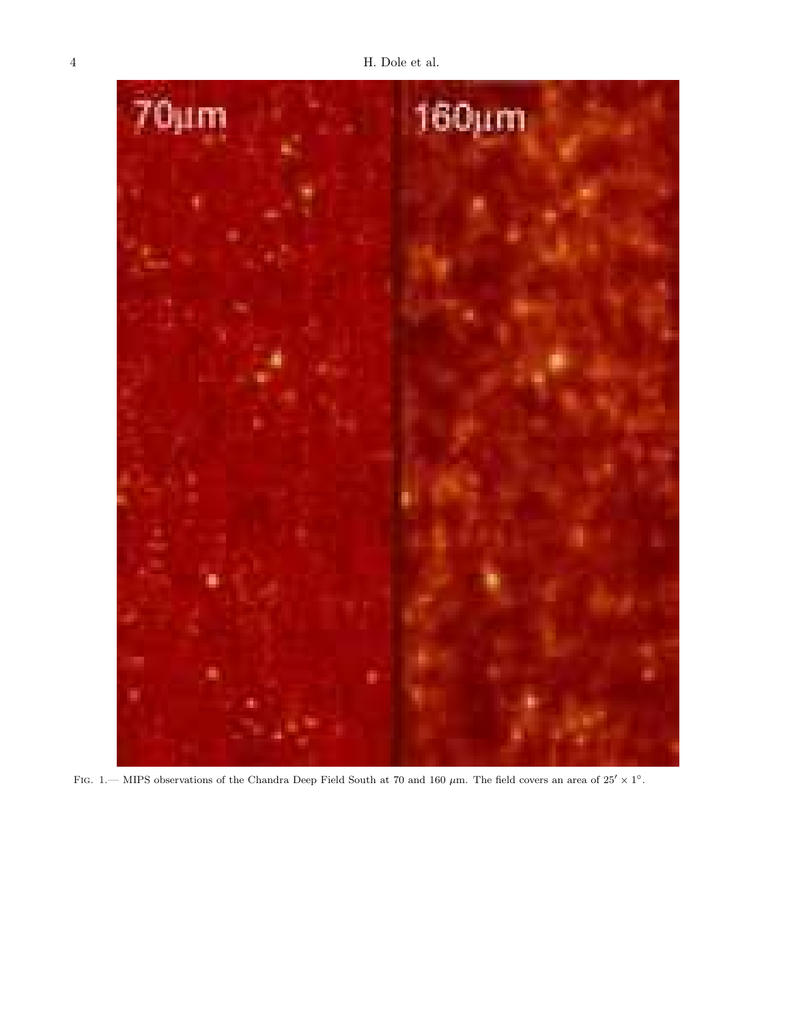<span id="page-3-0"></span>

FIG. 1. MIPS observations of the Chandra Deep Field South at 70 and 160  $\mu$ m. The field covers an area of 25'  $\times$  1°.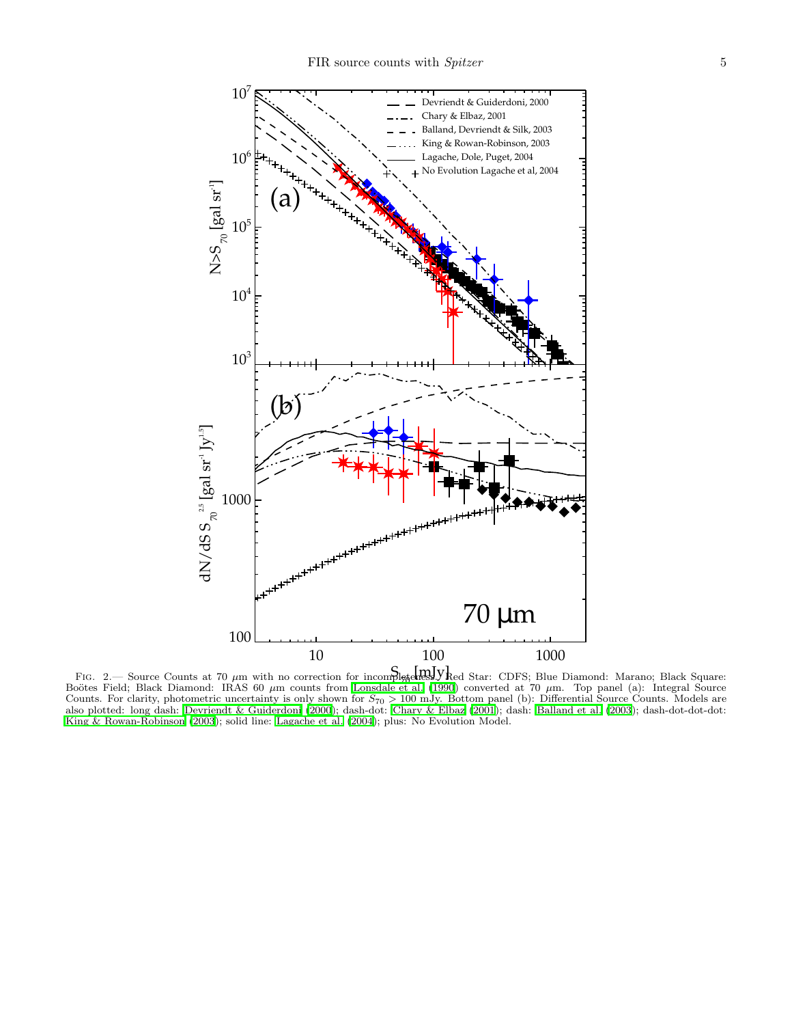

<span id="page-4-0"></span>FIG. 2.— Source Counts at 70 µm with no correction for incomplete my V ked Star: CDFS; Blue Diamond: Marano; Black Square: Boötes Field; Black Diamond: IRAS 60  $\mu$ m counts from [Lonsdale et al. \(1990](#page-2-29)) converted at 70  $\mu$ m. Top panel (a): Integral Source Counts. For clarity, photometric uncertainty is only shown for  $S_{70} > 100$  mJy. Bottom panel (b): Differential Source Counts. Models are also plotted: long dash: [Devriendt & Guiderdoni \(2000](#page-2-41)); dash-dot: [Chary & Elbaz \(2001\)](#page-2-42); dash: [Balland et al. \(2003](#page-2-43)); dash-dot-dot-dot: [King & Rowan-Robinson \(2003](#page-2-30)); solid line: [Lagache et al. \(2004](#page-2-23)); plus: No Evolution Model.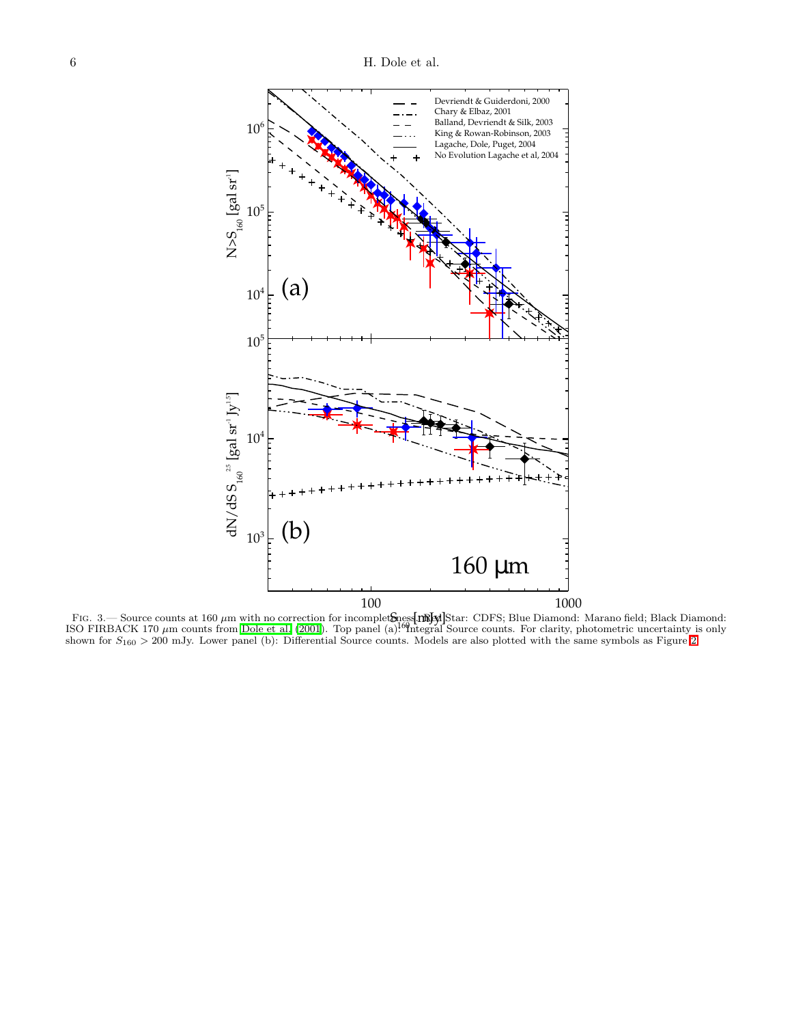

<span id="page-5-0"></span>FIG. 3.— Source counts at 160  $\mu$ m with no correction for incomplet**S**ness**. The Star**: CDFS; Blue Diamond: Marano field; Black Diamond:<br>SO FIRBACK 170  $\mu$ m counts from Dole et al. (2001). Top panel (a)<sup>160</sup>ntegral Sour ISO FIRBACK 170  $\mu$ m counts from [Dole et al. \(2001](#page-2-18)). Top panel (a): Integral Source counts. For clarity, photometric uncertainty is only shown for  $S_{160} > 200$  mJy. Lower panel (b): Differential Source counts. Models are also plotted with the same symbols as Figure [2.](#page-4-0)